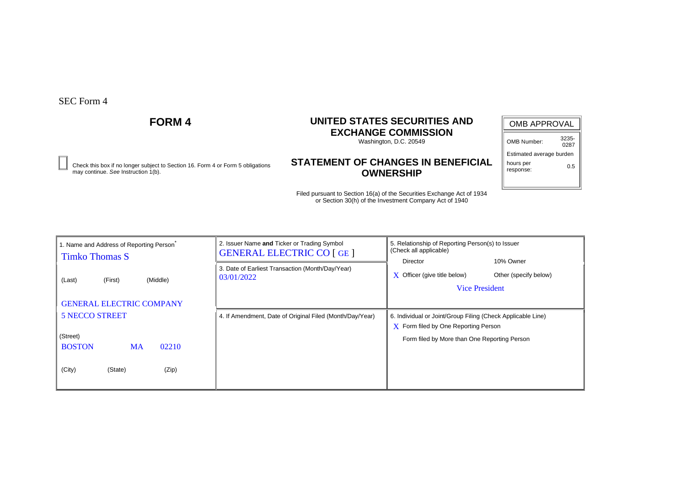# **FORM 4 UNITED STATES SECURITIES AND EXCHANGE COMMISSION**

Washington, D.C. 20549

### **STATEMENT OF CHANGES IN BENEFICIAL OWNERSHIP** Check this box if no longer subject to Section 16. Form 4 or Form 5 obligations **0.5**<br>may continue. See Instruction 1(b). **OWNERSHIP**

| <b>OMB APPROVAL</b>      |               |  |  |  |  |  |
|--------------------------|---------------|--|--|--|--|--|
| OMB Number:              | 3235-<br>0287 |  |  |  |  |  |
| Estimated average burden |               |  |  |  |  |  |
| hours per<br>response:   | 0.5           |  |  |  |  |  |
|                          |               |  |  |  |  |  |

| 1. Name and Address of Reporting Person<br><b>Timko Thomas S</b>                                       | 2. Issuer Name and Ticker or Trading Symbol<br><b>GENERAL ELECTRIC CO [GE]</b> | 5. Relationship of Reporting Person(s) to Issuer<br>(Check all applicable)                                                                                 |
|--------------------------------------------------------------------------------------------------------|--------------------------------------------------------------------------------|------------------------------------------------------------------------------------------------------------------------------------------------------------|
| (Middle)<br>(First)<br>(Last)<br><b>GENERAL ELECTRIC COMPANY</b>                                       | 3. Date of Earliest Transaction (Month/Day/Year)<br>03/01/2022                 | 10% Owner<br>Director<br>Other (specify below)<br>Officer (give title below)<br>X<br><b>Vice President</b>                                                 |
| <b>5 NECCO STREET</b><br>(Street)<br><b>BOSTON</b><br>02210<br><b>MA</b><br>(City)<br>(Zip)<br>(State) | 4. If Amendment, Date of Original Filed (Month/Day/Year)                       | 6. Individual or Joint/Group Filing (Check Applicable Line)<br>$\bf{X}$ Form filed by One Reporting Person<br>Form filed by More than One Reporting Person |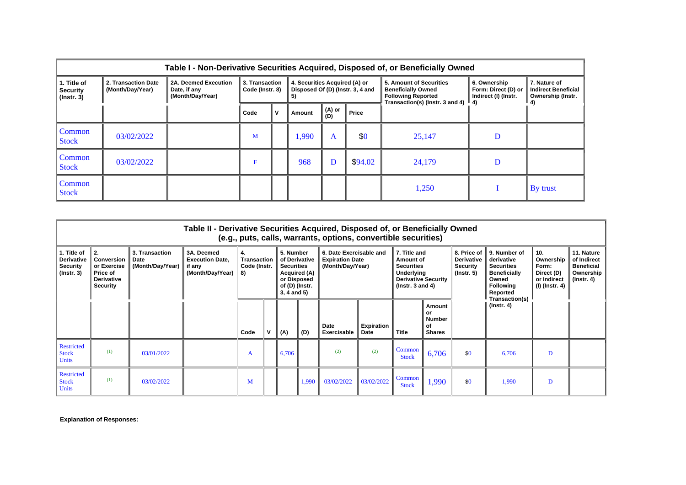|                                                    | Table I - Non-Derivative Securities Acquired, Disposed of, or Beneficially Owned |                                                          |                                                                                                              |   |        |               |         |                                                                                                                                     |                                                             |                                                                 |  |
|----------------------------------------------------|----------------------------------------------------------------------------------|----------------------------------------------------------|--------------------------------------------------------------------------------------------------------------|---|--------|---------------|---------|-------------------------------------------------------------------------------------------------------------------------------------|-------------------------------------------------------------|-----------------------------------------------------------------|--|
| 1. Title of<br><b>Security</b><br>$($ lnstr. 3 $)$ | 2. Transaction Date<br>(Month/Day/Year)                                          | 2A. Deemed Execution<br>Date, if any<br>(Month/Day/Year) | 4. Securities Acquired (A) or<br>3. Transaction<br>Disposed Of (D) (Instr. 3, 4 and<br>Code (Instr. 8)<br>5) |   |        |               |         | 5. Amount of Securities<br><b>Beneficially Owned</b><br><b>Following Reported</b><br>Transaction(s) (lnstr. 3 and 4) $\parallel$ 4) | 6. Ownership<br>Form: Direct (D) or<br>Indirect (I) (Instr. | 7. Nature of<br><b>Indirect Beneficial</b><br>Ownership (Instr. |  |
|                                                    |                                                                                  |                                                          | Code                                                                                                         | v | Amount | (A) or<br>(D) | Price   |                                                                                                                                     |                                                             |                                                                 |  |
| Common<br><b>Stock</b>                             | 03/02/2022                                                                       |                                                          | M                                                                                                            |   | 1,990  | A             | \$0     | 25,147                                                                                                                              |                                                             |                                                                 |  |
| Common<br><b>Stock</b>                             | 03/02/2022                                                                       |                                                          | F                                                                                                            |   | 968    | D             | \$94.02 | 24,179                                                                                                                              | D                                                           |                                                                 |  |
| Common<br><b>Stock</b>                             |                                                                                  |                                                          |                                                                                                              |   |        |               |         | 1,250                                                                                                                               |                                                             | $\mathbf{B}$ y trust                                            |  |

|                                                                         | Table II - Derivative Securities Acquired, Disposed of, or Beneficially Owned<br>(e.g., puts, calls, warrants, options, convertible securities) |                                            |                                                                    |                                            |  |                                                                                                                     |       |                                                                       |                           |                                                                                                                      |                                                      |                                                                  |                                                                                                                 |                                                                            |                                                                                 |
|-------------------------------------------------------------------------|-------------------------------------------------------------------------------------------------------------------------------------------------|--------------------------------------------|--------------------------------------------------------------------|--------------------------------------------|--|---------------------------------------------------------------------------------------------------------------------|-------|-----------------------------------------------------------------------|---------------------------|----------------------------------------------------------------------------------------------------------------------|------------------------------------------------------|------------------------------------------------------------------|-----------------------------------------------------------------------------------------------------------------|----------------------------------------------------------------------------|---------------------------------------------------------------------------------|
| 1. Title of<br><b>Derivative</b><br><b>Security</b><br>$($ lnstr. 3 $)$ | 2.<br><b>Conversion</b><br>or Exercise<br>Price of<br><b>Derivative</b><br><b>Security</b>                                                      | 3. Transaction<br>Date<br>(Month/Day/Year) | 3A. Deemed<br><b>Execution Date.</b><br>if any<br>(Month/Day/Year) | 4.<br>Transaction<br>Code (Instr.<br>II 8) |  | 5. Number<br>of Derivative<br><b>Securities</b><br>Acquired (A)<br>or Disposed<br>of (D) (Instr.<br>$3, 4$ and $5)$ |       | 6. Date Exercisable and<br><b>Expiration Date</b><br>(Month/Day/Year) |                           | 7. Title and<br>Amount of<br><b>Securities</b><br>Underlying<br><b>Derivative Security</b><br>$($ lnstr. 3 and 4 $)$ |                                                      | 8. Price of<br><b>Derivative</b><br>Security<br>$($ lnstr. 5 $)$ | 9. Number of<br>derivative<br><b>Securities</b><br><b>Beneficially</b><br>Owned<br><b>Following</b><br>Reported | 10.<br>Ownership<br>Form:<br>Direct (D)<br>or Indirect<br>$(I)$ (Instr. 4) | 11. Nature<br>of Indirect<br><b>Beneficial</b><br>Ownership<br>$($ lnstr. 4 $)$ |
|                                                                         |                                                                                                                                                 |                                            |                                                                    | Code                                       |  | (A)                                                                                                                 | (D)   | Date<br>Exercisable                                                   | <b>Expiration</b><br>Date | <b>Title</b>                                                                                                         | Amount<br>or<br><b>Number</b><br>of<br><b>Shares</b> |                                                                  | Transaction(s)<br>$($ lnstr. 4 $)$                                                                              |                                                                            |                                                                                 |
| <b>Restricted</b><br><b>Stock</b><br><b>Units</b>                       | (1)                                                                                                                                             | 03/01/2022                                 |                                                                    | A                                          |  | 6,706                                                                                                               |       | (2)                                                                   | (2)                       | <b>Common</b><br><b>Stock</b>                                                                                        | 6,706                                                | \$0                                                              | 6.706                                                                                                           | D                                                                          |                                                                                 |
| <b>Restricted</b><br><b>Stock</b><br><b>Units</b>                       | (1)                                                                                                                                             | 03/02/2022                                 |                                                                    | M                                          |  |                                                                                                                     | 1,990 | 03/02/2022                                                            | 03/02/2022                | Common<br><b>Stock</b>                                                                                               | 1,990                                                | \$0                                                              | 1,990                                                                                                           | D                                                                          |                                                                                 |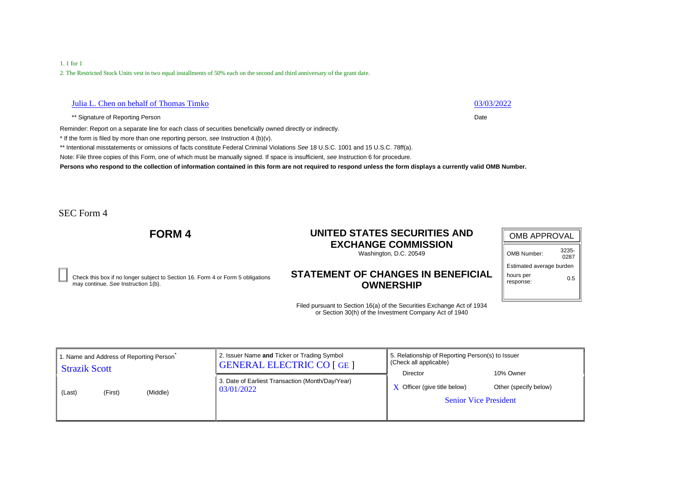## 1. 1 for 1

2. The Restricted Stock Units vest in two equal installments of 50% each on the second and third anniversary of the grant date.

## Julia L. Chen on behalf of Thomas Timko 03/03/2022

\*\* Signature of Reporting Person Date **Date of Reporting Person** Date **Date Date** 

Reminder: Report on a separate line for each class of securities beneficially owned directly or indirectly.

\* If the form is filed by more than one reporting person, *see* Instruction 4 (b)(v).

\*\* Intentional misstatements or omissions of facts constitute Federal Criminal Violations *See* 18 U.S.C. 1001 and 15 U.S.C. 78ff(a).

Note: File three copies of this Form, one of which must be manually signed. If space is insufficient, *see* Instruction 6 for procedure.

**Persons who respond to the collection of information contained in this form are not required to respond unless the form displays a currently valid OMB Number.**

SEC Form 4

# **FORM 4 UNITED STATES SECURITIES AND EXCHANGE COMMISSION**

Washington, D.C. 20549

### **STATEMENT OF CHANGES IN BENEFICIAL OWNERSHIP** Check this box if no longer subject to Section 16. Form 4 or Form 5 obligations **0.5**<br>may continue. See Instruction 1(b). **OWNERSHIP**

| <b>OMB APPROVAL</b>      |               |
|--------------------------|---------------|
| OMB Number:              | 3235-<br>0287 |
| Estimated average burden |               |
| hours per<br>response:   | 0.5           |
|                          |               |

| 1. Name and Address of Reporting Person | 2. Issuer Name and Ticker or Trading Symbol                    | 5. Relationship of Reporting Person(s) to Issuer                                |                                    |
|-----------------------------------------|----------------------------------------------------------------|---------------------------------------------------------------------------------|------------------------------------|
| <b>Strazik Scott</b>                    | <b>GENERAL ELECTRIC CO [GE ]</b>                               | $\parallel$ (Check all applicable)                                              |                                    |
| (Middle)<br>(First)<br>(Last)           | 3. Date of Earliest Transaction (Month/Day/Year)<br>03/01/2022 | Director<br>$\bf{X}$ Officer (give title below)<br><b>Senior Vice President</b> | 10% Owner<br>Other (specify below) |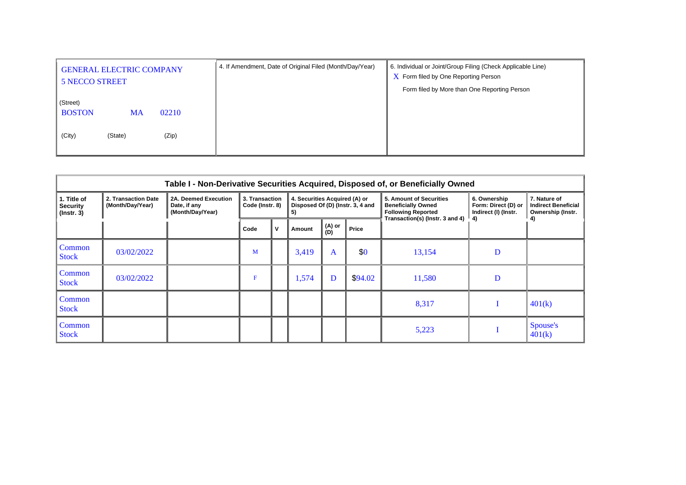| <b>GENERAL ELECTRIC COMPANY</b><br><b>5 NECCO STREET</b> | 4. If Amendment, Date of Original Filed (Month/Day/Year) | 6. Individual or Joint/Group Filing (Check Applicable Line)<br>$\overline{X}$ Form filed by One Reporting Person<br>Form filed by More than One Reporting Person |
|----------------------------------------------------------|----------------------------------------------------------|------------------------------------------------------------------------------------------------------------------------------------------------------------------|
| (Street)<br><b>BOSTON</b><br>02210<br><b>MA</b>          |                                                          |                                                                                                                                                                  |
| (City)<br>(Zip)<br>(State)                               |                                                          |                                                                                                                                                                  |

|                                                    | Table I - Non-Derivative Securities Acquired, Disposed of, or Beneficially Owned |                                                          |                                                                                                              |   |        |               |         |        |   |                     |                                                                                                                             |                                                             |                                                                 |
|----------------------------------------------------|----------------------------------------------------------------------------------|----------------------------------------------------------|--------------------------------------------------------------------------------------------------------------|---|--------|---------------|---------|--------|---|---------------------|-----------------------------------------------------------------------------------------------------------------------------|-------------------------------------------------------------|-----------------------------------------------------------------|
| 1. Title of<br><b>Security</b><br>$($ lnstr. 3 $)$ | 2. Transaction Date<br>(Month/Day/Year)                                          | 2A. Deemed Execution<br>Date, if any<br>(Month/Day/Year) | 3. Transaction<br>4. Securities Acquired (A) or<br>Code (Instr. 8)<br>Disposed Of (D) (Instr. 3, 4 and<br>5) |   |        |               |         |        |   |                     | <b>5. Amount of Securities</b><br><b>Beneficially Owned</b><br><b>Following Reported</b><br>Transaction(s) (Instr. 3 and 4) | 6. Ownership<br>Form: Direct (D) or<br>Indirect (I) (Instr. | 7. Nature of<br><b>Indirect Beneficial</b><br>Ownership (Instr. |
|                                                    |                                                                                  |                                                          | Code                                                                                                         | ν | Amount | (A) or<br>(D) | Price   |        |   |                     |                                                                                                                             |                                                             |                                                                 |
| Common<br><b>Stock</b>                             | 03/02/2022                                                                       |                                                          | M                                                                                                            |   | 3,419  | $\mathbf{A}$  | \$0     | 13,154 | D |                     |                                                                                                                             |                                                             |                                                                 |
| Common<br><b>Stock</b>                             | 03/02/2022                                                                       |                                                          | F                                                                                                            |   | 1,574  | D             | \$94.02 | 11,580 | D |                     |                                                                                                                             |                                                             |                                                                 |
| Common<br><b>Stock</b>                             |                                                                                  |                                                          |                                                                                                              |   |        |               |         | 8,317  |   | 401(k)              |                                                                                                                             |                                                             |                                                                 |
| Common<br><b>Stock</b>                             |                                                                                  |                                                          |                                                                                                              |   |        |               |         | 5,223  |   | Spouse's<br> 401(k) |                                                                                                                             |                                                             |                                                                 |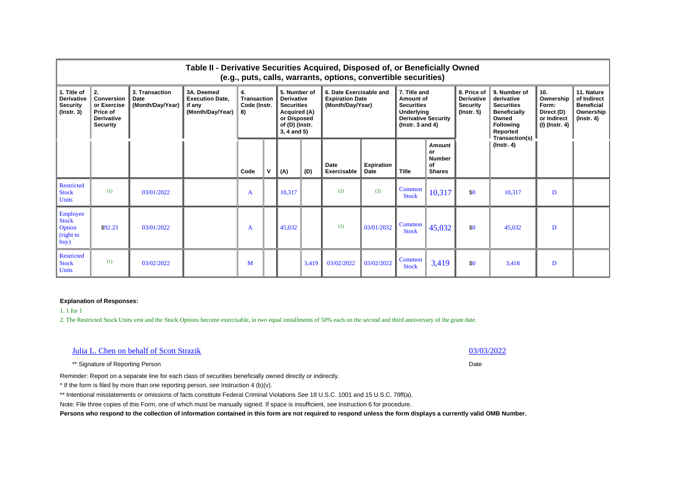|                                                                         | Table II - Derivative Securities Acquired, Disposed of, or Beneficially Owned<br>(e.g., puts, calls, warrants, options, convertible securities) |                                                   |                                                                    |                                         |  |                                                                                                                            |       |                                                                       |                                  |                                                                                                                             |                                                      |                                                                         |                                                                                                                                   |                                                                            |                                                                                 |
|-------------------------------------------------------------------------|-------------------------------------------------------------------------------------------------------------------------------------------------|---------------------------------------------------|--------------------------------------------------------------------|-----------------------------------------|--|----------------------------------------------------------------------------------------------------------------------------|-------|-----------------------------------------------------------------------|----------------------------------|-----------------------------------------------------------------------------------------------------------------------------|------------------------------------------------------|-------------------------------------------------------------------------|-----------------------------------------------------------------------------------------------------------------------------------|----------------------------------------------------------------------------|---------------------------------------------------------------------------------|
| 1. Title of<br><b>Derivative</b><br><b>Security</b><br>$($ lnstr. 3 $)$ | 2.<br>Conversion<br>or Exercise<br>Price of<br><b>Derivative</b><br>Security                                                                    | 3. Transaction<br><b>Date</b><br>(Month/Day/Year) | 3A. Deemed<br><b>Execution Date.</b><br>if any<br>(Month/Day/Year) | 4.<br>Transaction<br>Code (Instr.<br>8) |  | 5. Number of<br><b>Derivative</b><br><b>Securities</b><br>Acquired (A)<br>or Disposed<br>of (D) (Instr.<br>$3, 4$ and $5)$ |       | 6. Date Exercisable and<br><b>Expiration Date</b><br>(Month/Day/Year) |                                  | 7. Title and<br>Amount of<br><b>Securities</b><br><b>Underlying</b><br><b>Derivative Security</b><br>$($ lnstr. 3 and 4 $)$ |                                                      | 8. Price of<br><b>Derivative</b><br><b>Security</b><br>$($ lnstr. 5 $)$ | 9. Number of<br>derivative<br><b>Securities</b><br><b>Beneficially</b><br>Owned<br><b>Following</b><br>Reported<br>Transaction(s) | 10.<br>Ownership<br>Form:<br>Direct (D)<br>or Indirect<br>  (I) (Instr. 4) | 11. Nature<br>of Indirect<br><b>Beneficial</b><br>Ownership<br>$($ lnstr. 4 $)$ |
|                                                                         |                                                                                                                                                 |                                                   |                                                                    | Code                                    |  | (A)                                                                                                                        | (D)   | Date<br>Exercisable                                                   | <b>Expiration</b><br><b>Date</b> | <b>Title</b>                                                                                                                | Amount<br>or<br><b>Number</b><br>οf<br><b>Shares</b> |                                                                         | $($ Instr. 4 $)$                                                                                                                  |                                                                            |                                                                                 |
| <b>Restricted</b><br><b>Stock</b><br>Units                              | (1)                                                                                                                                             | 03/01/2022                                        |                                                                    | A                                       |  | 10.317                                                                                                                     |       | (2)                                                                   | (2)                              | Common<br><b>Stock</b>                                                                                                      | 10,317                                               | \$0                                                                     | 10.317                                                                                                                            | D                                                                          |                                                                                 |
| Employee<br><b>Stock</b><br>Option<br>(right to<br>buy)                 | \$92.23                                                                                                                                         | 03/01/2022                                        |                                                                    | A                                       |  | 45,032                                                                                                                     |       | (2)                                                                   | 03/01/2032                       | Common<br><b>Stock</b>                                                                                                      | 45,032                                               | \$0                                                                     | 45.032                                                                                                                            | D                                                                          |                                                                                 |
| <b>Restricted</b><br><b>Stock</b><br><b>Units</b>                       | (1)                                                                                                                                             | 03/02/2022                                        |                                                                    | M                                       |  |                                                                                                                            | 3,419 | 03/02/2022                                                            | 03/02/2022                       | Common<br><b>Stock</b>                                                                                                      | 3,419                                                | \$0                                                                     | 3.418                                                                                                                             | D                                                                          |                                                                                 |

1. 1 for 1

2. The Restricted Stock Units vest and the Stock Options become exercisable, in two equal installments of 50% each on the second and third anniversary of the grant date.

| Julia L. Chen on behalf of Scott Strazik | 03/03/2022 |
|------------------------------------------|------------|
|                                          |            |

\*\* Signature of Reporting Person Date

Reminder: Report on a separate line for each class of securities beneficially owned directly or indirectly.

\* If the form is filed by more than one reporting person, *see* Instruction 4 (b)(v).

\*\* Intentional misstatements or omissions of facts constitute Federal Criminal Violations *See* 18 U.S.C. 1001 and 15 U.S.C. 78ff(a).

Note: File three copies of this Form, one of which must be manually signed. If space is insufficient, *see* Instruction 6 for procedure.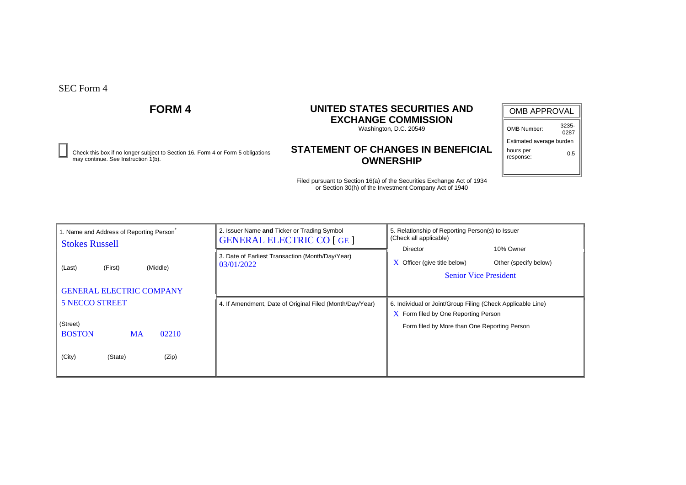Check this box if no longer subject to Section 16. Form 4 or Form 5 obligations **0.5**<br>may continue. See Instruction 1(b). **OWNERSHIP** 

# **FORM 4 UNITED STATES SECURITIES AND EXCHANGE COMMISSION**

Washington, D.C. 20549

# **STATEMENT OF CHANGES IN BENEFICIAL OWNERSHIP**

| <b>OMB APPROVAL</b>      |               |  |  |  |  |
|--------------------------|---------------|--|--|--|--|
| OMB Number:              | 3235-<br>0287 |  |  |  |  |
| Estimated average burden |               |  |  |  |  |
| hours per                |               |  |  |  |  |

response:

| 1. Name and Address of Reporting Person<br><b>Stokes Russell</b> | 2. Issuer Name and Ticker or Trading Symbol<br><b>GENERAL ELECTRIC CO [GE]</b> | 5. Relationship of Reporting Person(s) to Issuer<br>(Check all applicable)                                            |
|------------------------------------------------------------------|--------------------------------------------------------------------------------|-----------------------------------------------------------------------------------------------------------------------|
| (First)<br>(Middle)<br>(Last)                                    | 3. Date of Earliest Transaction (Month/Day/Year)<br>03/01/2022                 | 10% Owner<br>Director<br>$\bf{X}$ Officer (give title below)<br>Other (specify below)<br><b>Senior Vice President</b> |
| <b>GENERAL ELECTRIC COMPANY</b>                                  |                                                                                |                                                                                                                       |
| <b>5 NECCO STREET</b>                                            | 4. If Amendment, Date of Original Filed (Month/Day/Year)                       | 6. Individual or Joint/Group Filing (Check Applicable Line)                                                           |
| (Street)<br><b>BOSTON</b><br>02210<br><b>MA</b>                  |                                                                                | $\overline{X}$ Form filed by One Reporting Person<br>Form filed by More than One Reporting Person                     |
| (City)<br>(Zip)<br>(State)                                       |                                                                                |                                                                                                                       |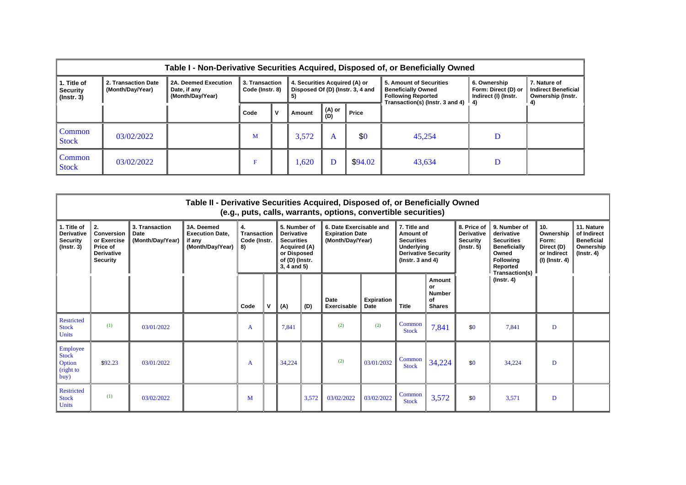|                                                    | Table I - Non-Derivative Securities Acquired, Disposed of, or Beneficially Owned |                                                          |                                   |              |                                     |               |                                  |                                                                                                                                     |                                                             |                                                                 |
|----------------------------------------------------|----------------------------------------------------------------------------------|----------------------------------------------------------|-----------------------------------|--------------|-------------------------------------|---------------|----------------------------------|-------------------------------------------------------------------------------------------------------------------------------------|-------------------------------------------------------------|-----------------------------------------------------------------|
| 1. Title of<br><b>Security</b><br>$($ lnstr. 3 $)$ | 2. Transaction Date<br>(Month/Day/Year)                                          | 2A. Deemed Execution<br>Date, if any<br>(Month/Day/Year) | 3. Transaction<br>Code (Instr. 8) |              | 4. Securities Acquired (A) or<br>5) |               | Disposed Of (D) (Instr. 3, 4 and | 5. Amount of Securities<br><b>Beneficially Owned</b><br><b>Following Reported</b><br>Transaction(s) (lnstr. 3 and 4) $\parallel$ 4) | 6. Ownership<br>Form: Direct (D) or<br>Indirect (I) (Instr. | 7. Nature of<br><b>Indirect Beneficial</b><br>Ownership (Instr. |
|                                                    |                                                                                  |                                                          | Code                              | $\mathbf{v}$ | Amount                              | (A) or<br>(D) | Price                            |                                                                                                                                     |                                                             |                                                                 |
| Common<br><b>Stock</b>                             | 03/02/2022                                                                       |                                                          | M                                 |              | 3,572                               | A             | \$0                              | 45,254                                                                                                                              | D                                                           |                                                                 |
| Common<br><b>Stock</b>                             | 03/02/2022                                                                       |                                                          | F                                 |              | ,620                                |               | \$94.02                          | 43,634                                                                                                                              | D                                                           |                                                                 |

|                                                                         |                                                                                            |                                            | Table II - Derivative Securities Acquired, Disposed of, or Beneficially Owned |                                                                                                                                                                       |   |                                                                       |       | (e.g., puts, calls, warrants, options, convertible securities)                                                     |                                  |                                                                         |                                                                                                                                   |                                                                          |                                                                                 |   |  |
|-------------------------------------------------------------------------|--------------------------------------------------------------------------------------------|--------------------------------------------|-------------------------------------------------------------------------------|-----------------------------------------------------------------------------------------------------------------------------------------------------------------------|---|-----------------------------------------------------------------------|-------|--------------------------------------------------------------------------------------------------------------------|----------------------------------|-------------------------------------------------------------------------|-----------------------------------------------------------------------------------------------------------------------------------|--------------------------------------------------------------------------|---------------------------------------------------------------------------------|---|--|
| 1. Title of<br><b>Derivative</b><br><b>Security</b><br>$($ lnstr. 3 $)$ | 2.<br><b>Conversion</b><br>or Exercise<br>Price of<br><b>Derivative</b><br><b>Security</b> | 3. Transaction<br>Date<br>(Month/Day/Year) | 3A. Deemed<br><b>Execution Date.</b><br>if any<br>(Month/Day/Year)            | 5. Number of<br>4.<br>Transaction<br><b>Derivative</b><br>Code (Instr.<br><b>Securities</b><br>Acquired (A)<br>8)<br>or Disposed<br>of (D) (Instr.<br>$3, 4$ and $5)$ |   | 6. Date Exercisable and<br><b>Expiration Date</b><br>(Month/Day/Year) |       | 7. Title and<br>Amount of<br><b>Securities</b><br>Underlying<br><b>Derivative Security</b><br>( $lnstr. 3 and 4$ ) |                                  | 8. Price of<br><b>Derivative</b><br><b>Security</b><br>$($ lnstr. 5 $)$ | 9. Number of<br>derivative<br><b>Securities</b><br><b>Beneficially</b><br>Owned<br><b>Following</b><br>Reported<br>Transaction(s) | 10.<br>Ownership<br>Form:<br>Direct (D)<br>or Indirect<br>(I) (Instr. 4) | 11. Nature<br>of Indirect<br><b>Beneficial</b><br>Ownership<br>$($ lnstr. 4 $)$ |   |  |
|                                                                         |                                                                                            |                                            |                                                                               | Code                                                                                                                                                                  | v | (A)                                                                   | (D)   | <b>Date</b><br>Exercisable                                                                                         | <b>Expiration</b><br><b>Date</b> | <b>Title</b>                                                            | Amount<br>or<br>Number<br>of<br><b>Shares</b>                                                                                     |                                                                          | $($ Instr. 4 $)$                                                                |   |  |
| <b>Restricted</b><br><b>Stock</b><br><b>Units</b>                       | (1)                                                                                        | 03/01/2022                                 |                                                                               | A                                                                                                                                                                     |   | 7,841                                                                 |       | (2)                                                                                                                | (2)                              | Common<br><b>Stock</b>                                                  | 7,841                                                                                                                             | \$0                                                                      | 7,841                                                                           | D |  |
| Employee<br><b>Stock</b><br>Option<br>(right to<br>buy)                 | \$92.23                                                                                    | 03/01/2022                                 |                                                                               | A                                                                                                                                                                     |   | 34,224                                                                |       | (2)                                                                                                                | 03/01/2032                       | Common<br><b>Stock</b>                                                  | 34,224                                                                                                                            | \$0                                                                      | 34,224                                                                          | D |  |
| <b>Restricted</b><br><b>Stock</b><br>Units                              | (1)                                                                                        | 03/02/2022                                 |                                                                               | М                                                                                                                                                                     |   |                                                                       | 3,572 | 03/02/2022                                                                                                         | 03/02/2022                       | Common<br><b>Stock</b>                                                  | 3,572                                                                                                                             | \$0                                                                      | 3,571                                                                           | D |  |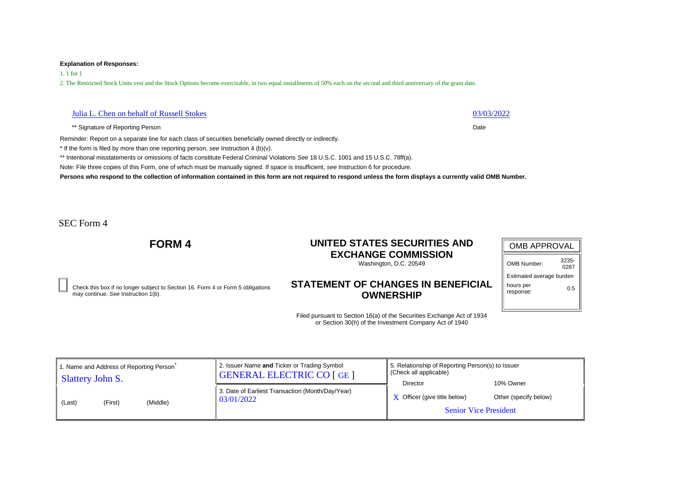1. 1 for 1

2. The Restricted Stock Units vest and the Stock Options become exercisable, in two equal installments of 50% each on the second and third anniversary of the grant date.

## Julia L. Chen on behalf of Russell Stokes 03/03/2022

\*\* Signature of Reporting Person Date **Date of Reporting Person** Date **Date Date** 

Reminder: Report on a separate line for each class of securities beneficially owned directly or indirectly.

\* If the form is filed by more than one reporting person, *see* Instruction 4 (b)(v).

\*\* Intentional misstatements or omissions of facts constitute Federal Criminal Violations *See* 18 U.S.C. 1001 and 15 U.S.C. 78ff(a).

Note: File three copies of this Form, one of which must be manually signed. If space is insufficient, *see* Instruction 6 for procedure.

**Persons who respond to the collection of information contained in this form are not required to respond unless the form displays a currently valid OMB Number.**

SEC Form 4

# **FORM 4 UNITED STATES SECURITIES AND EXCHANGE COMMISSION**

Washington, D.C. 20549

Check this box if no longer subject to Section 16. Form 4 or Form 5 obligations may continue. *See* Instruction 1(b).

## **STATEMENT OF CHANGES IN BENEFICIAL OWNERSHIP**

| <b>OMB APPROVAL</b>      |               |  |  |  |  |  |  |  |
|--------------------------|---------------|--|--|--|--|--|--|--|
| OMB Number:              | 3235-<br>0287 |  |  |  |  |  |  |  |
| Estimated average burden |               |  |  |  |  |  |  |  |
| hours per<br>response:   | ი 5           |  |  |  |  |  |  |  |

| 1. Name and Address of Reporting Person | 2. Issuer Name and Ticker or Trading Symbol                    | 5. Relationship of Reporting Person(s) to Issuer                                |                                    |
|-----------------------------------------|----------------------------------------------------------------|---------------------------------------------------------------------------------|------------------------------------|
| Slattery John S.                        | <b>GENERAL ELECTRIC CO [GE ]</b>                               | (Check all applicable)                                                          |                                    |
| (Middle)<br>(First)<br>(Last)           | 3. Date of Earliest Transaction (Month/Day/Year)<br>03/01/2022 | Director<br>$\bf{X}$ Officer (give title below)<br><b>Senior Vice President</b> | 10% Owner<br>Other (specify below) |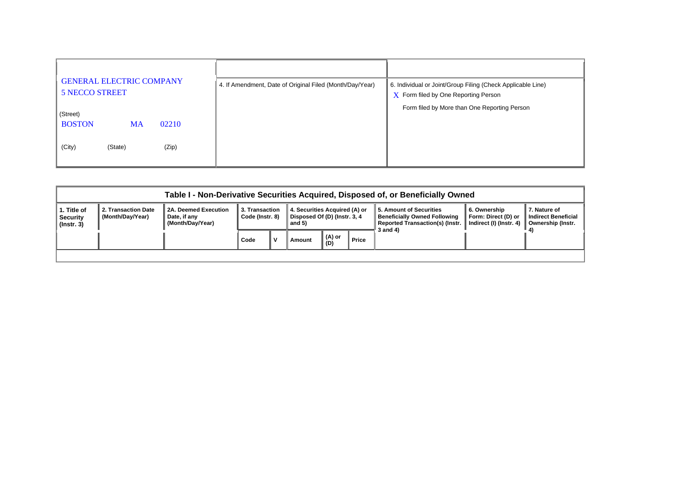| <b>GENERAL ELECTRIC COMPANY</b><br><b>5 NECCO STREET</b> | 4. If Amendment, Date of Original Filed (Month/Day/Year) | 6. Individual or Joint/Group Filing (Check Applicable Line)<br>$X$ Form filed by One Reporting Person |
|----------------------------------------------------------|----------------------------------------------------------|-------------------------------------------------------------------------------------------------------|
| (Street)                                                 |                                                          | Form filed by More than One Reporting Person                                                          |
| <b>BOSTON</b><br>02210<br><b>MA</b>                      |                                                          |                                                                                                       |
| (City)<br>(Zip)<br>(State)                               |                                                          |                                                                                                       |

|                                                    | Table I - Non-Derivative Securities Acquired, Disposed of, or Beneficially Owned |                                                          |                                   |              |                                                                         |               |       |                                                                                                                      |                                                                |                                                                 |
|----------------------------------------------------|----------------------------------------------------------------------------------|----------------------------------------------------------|-----------------------------------|--------------|-------------------------------------------------------------------------|---------------|-------|----------------------------------------------------------------------------------------------------------------------|----------------------------------------------------------------|-----------------------------------------------------------------|
| 1. Title of<br><b>Security</b><br>$($ lnstr. 3 $)$ | 2. Transaction Date<br>(Month/Day/Year)                                          | 2A. Deemed Execution<br>Date, if any<br>(Month/Day/Year) | 3. Transaction<br>Code (Instr. 8) |              | 4. Securities Acquired (A) or<br>Disposed Of (D) (Instr. 3, 4<br>and 5) |               |       | 5. Amount of Securities<br><b>Beneficially Owned Following</b><br><b>Reported Transaction(s) (Instr.</b><br>3 and 4) | 6. Ownership<br>Form: Direct (D) or<br>Indirect (I) (Instr. 4) | 7. Nature of<br><b>Indirect Beneficial</b><br>Ownership (Instr. |
|                                                    |                                                                                  |                                                          | Code                              | $\mathbf{v}$ | Amount                                                                  | (A) or<br>(D) | Price |                                                                                                                      |                                                                |                                                                 |
|                                                    |                                                                                  |                                                          |                                   |              |                                                                         |               |       |                                                                                                                      |                                                                |                                                                 |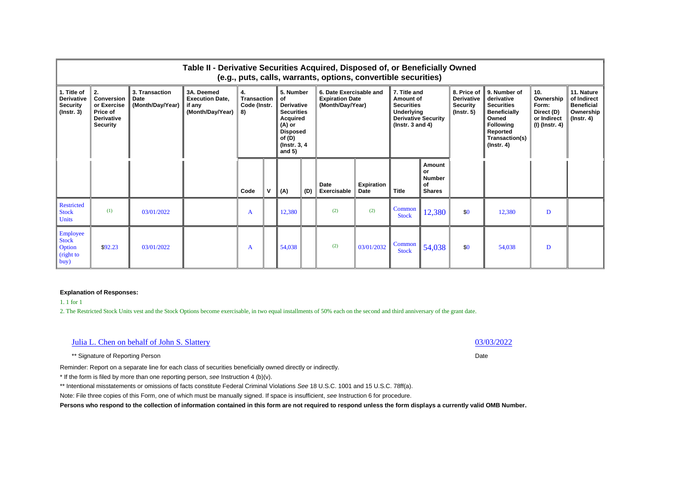|                                                                         |                                                                                            |                                            | Table II - Derivative Securities Acquired, Disposed of, or Beneficially Owned |                                                |                                                                                                                                                  |        |                                                                       | (e.g., puts, calls, warrants, options, convertible securities) |                                                                                                                    |                        |                                                                         |                                                                                                                                                       |                                                                          |                                                                           |  |
|-------------------------------------------------------------------------|--------------------------------------------------------------------------------------------|--------------------------------------------|-------------------------------------------------------------------------------|------------------------------------------------|--------------------------------------------------------------------------------------------------------------------------------------------------|--------|-----------------------------------------------------------------------|----------------------------------------------------------------|--------------------------------------------------------------------------------------------------------------------|------------------------|-------------------------------------------------------------------------|-------------------------------------------------------------------------------------------------------------------------------------------------------|--------------------------------------------------------------------------|---------------------------------------------------------------------------|--|
| 1. Title of<br><b>Derivative</b><br><b>Security</b><br>$($ lnstr. 3 $)$ | 2.<br><b>Conversion</b><br>or Exercise<br>Price of<br><b>Derivative</b><br><b>Security</b> | 3. Transaction<br>Date<br>(Month/Day/Year) | 3A, Deemed<br><b>Execution Date.</b><br>⊧ if any<br>(Month/Day/Year)          | 4.<br><b>Transaction</b><br>Code (Instr.<br>8) | 5. Number<br>οf<br><b>Derivative</b><br><b>Securities</b><br><b>Acquired</b><br>(A) or<br><b>Disposed</b><br>of (D)<br>(Instr. 3, 4)<br>and $5)$ |        | 6. Date Exercisable and<br><b>Expiration Date</b><br>(Month/Day/Year) |                                                                | 7. Title and<br>Amount of<br><b>Securities</b><br>Underlying<br><b>Derivative Security</b><br>( $lnstr. 3 and 4$ ) |                        | 8. Price of<br><b>Derivative</b><br><b>Security</b><br>$($ lnstr. 5 $)$ | 9. Number of<br>derivative<br><b>Securities</b><br><b>Beneficially</b><br>Owned<br><b>Following</b><br>Reported<br>Transaction(s)<br>$($ lnstr. 4 $)$ | 10.<br>Ownership<br>Form:<br>Direct (D)<br>or Indirect<br>(I) (Instr. 4) | 11. Nature<br>of Indirect<br><b>Beneficial</b><br>Ownership<br>(Instr. 4) |  |
|                                                                         |                                                                                            |                                            |                                                                               | Code                                           | v                                                                                                                                                | (A)    | (D)                                                                   | Date<br>Exercisable                                            | Expiration<br>Date                                                                                                 | <b>Title</b>           | Amount<br><b>or</b><br><b>Number</b><br>of<br><b>Shares</b>             |                                                                                                                                                       |                                                                          |                                                                           |  |
| <b>Restricted</b><br><b>Stock</b><br><b>Units</b>                       | (1)                                                                                        | 03/01/2022                                 |                                                                               | A                                              |                                                                                                                                                  | 12,380 |                                                                       | (2)                                                            | (2)                                                                                                                | Common<br><b>Stock</b> | 12,380                                                                  | \$0                                                                                                                                                   | 12,380                                                                   | D                                                                         |  |
| Employee<br><b>Stock</b><br>Option<br>(right to<br>buy)                 | \$92.23                                                                                    | 03/01/2022                                 |                                                                               | A                                              |                                                                                                                                                  | 54,038 |                                                                       | (2)                                                            | 03/01/2032                                                                                                         | Common<br><b>Stock</b> | 54,038                                                                  | \$0                                                                                                                                                   | 54,038                                                                   | D                                                                         |  |

1. 1 for 1

2. The Restricted Stock Units vest and the Stock Options become exercisable, in two equal installments of 50% each on the second and third anniversary of the grant date.

## Julia L. Chen on behalf of John S. Slattery 03/03/2022

\*\* Signature of Reporting Person Date **Date of Reporting Person** Date **Date Date** 

Reminder: Report on a separate line for each class of securities beneficially owned directly or indirectly.

\* If the form is filed by more than one reporting person, *see* Instruction 4 (b)(v).

\*\* Intentional misstatements or omissions of facts constitute Federal Criminal Violations *See* 18 U.S.C. 1001 and 15 U.S.C. 78ff(a).

Note: File three copies of this Form, one of which must be manually signed. If space is insufficient, *see* Instruction 6 for procedure.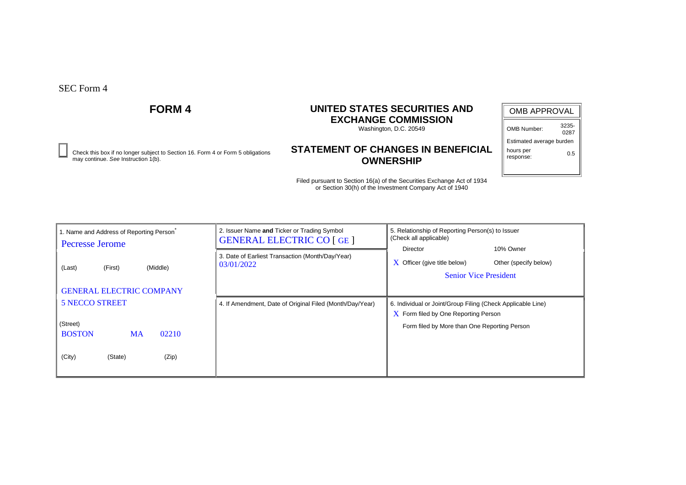Check this box if no longer subject to Section 16. Form 4 or Form 5 obligations **0.5**<br>may continue. See Instruction 1(b). **OWNERSHIP** 

# **FORM 4 UNITED STATES SECURITIES AND EXCHANGE COMMISSION**

Washington, D.C. 20549

# **STATEMENT OF CHANGES IN BENEFICIAL OWNERSHIP**

| <b>OMB APPROVAL</b>      |               |  |  |  |  |  |  |
|--------------------------|---------------|--|--|--|--|--|--|
| OMB Number:              | 3235-<br>0287 |  |  |  |  |  |  |
| Estimated average burden |               |  |  |  |  |  |  |
| hours per                |               |  |  |  |  |  |  |

response:

| 1. Name and Address of Reporting Person<br><b>Pecresse Jerome</b> | 2. Issuer Name and Ticker or Trading Symbol<br><b>GENERAL ELECTRIC CO [GE ]</b> | 5. Relationship of Reporting Person(s) to Issuer<br>(Check all applicable)                                                           |
|-------------------------------------------------------------------|---------------------------------------------------------------------------------|--------------------------------------------------------------------------------------------------------------------------------------|
| (Middle)<br>(First)<br>(Last)                                     | 3. Date of Earliest Transaction (Month/Day/Year)<br>03/01/2022                  | 10% Owner<br><b>Director</b><br>Other (specify below)<br>$\boldsymbol{X}$ Officer (give title below)<br><b>Senior Vice President</b> |
| <b>GENERAL ELECTRIC COMPANY</b>                                   |                                                                                 |                                                                                                                                      |
| <b>5 NECCO STREET</b>                                             | 4. If Amendment, Date of Original Filed (Month/Day/Year)                        | 6. Individual or Joint/Group Filing (Check Applicable Line)                                                                          |
|                                                                   |                                                                                 | $\bar{X}$ Form filed by One Reporting Person                                                                                         |
| (Street)<br><b>BOSTON</b><br>02210<br><b>MA</b>                   |                                                                                 | Form filed by More than One Reporting Person                                                                                         |
|                                                                   |                                                                                 |                                                                                                                                      |
| (City)<br>(State)<br>(Zip)                                        |                                                                                 |                                                                                                                                      |
|                                                                   |                                                                                 |                                                                                                                                      |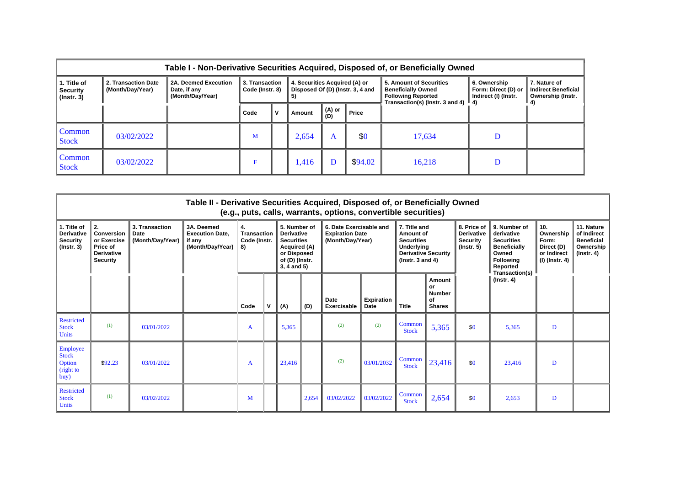|                                                    | Table I - Non-Derivative Securities Acquired, Disposed of, or Beneficially Owned |                                                          |                                   |              |                                     |               |                                  |                                                                                                                                     |                                                             |                                                                 |
|----------------------------------------------------|----------------------------------------------------------------------------------|----------------------------------------------------------|-----------------------------------|--------------|-------------------------------------|---------------|----------------------------------|-------------------------------------------------------------------------------------------------------------------------------------|-------------------------------------------------------------|-----------------------------------------------------------------|
| 1. Title of<br><b>Security</b><br>$($ lnstr. 3 $)$ | 2. Transaction Date<br>(Month/Day/Year)                                          | 2A. Deemed Execution<br>Date, if any<br>(Month/Day/Year) | 3. Transaction<br>Code (Instr. 8) |              | 4. Securities Acquired (A) or<br>5) |               | Disposed Of (D) (Instr. 3, 4 and | 5. Amount of Securities<br><b>Beneficially Owned</b><br><b>Following Reported</b><br>Transaction(s) (lnstr. 3 and 4) $\parallel$ 4) | 6. Ownership<br>Form: Direct (D) or<br>Indirect (I) (Instr. | 7. Nature of<br><b>Indirect Beneficial</b><br>Ownership (Instr. |
|                                                    |                                                                                  |                                                          | Code                              | $\mathbf{v}$ | Amount                              | (A) or<br>(D) | Price                            |                                                                                                                                     |                                                             |                                                                 |
| Common<br><b>Stock</b>                             | 03/02/2022                                                                       |                                                          | M                                 |              | 2,654                               | A             | \$0                              | 17,634                                                                                                                              | D                                                           |                                                                 |
| Common<br><b>Stock</b>                             | 03/02/2022                                                                       |                                                          | F                                 |              | .416                                |               | \$94.02                          | 16,218                                                                                                                              | D                                                           |                                                                 |

|                                                                         |                                                                                     |                                            | Table II - Derivative Securities Acquired, Disposed of, or Beneficially Owned |                                                                                                                                                                       |   |                                                                       |       | (e.g., puts, calls, warrants, options, convertible securities)                                                     |                                  |                                                                         |                                                                                                                                   |                                                                          |                                                                                 |   |  |
|-------------------------------------------------------------------------|-------------------------------------------------------------------------------------|--------------------------------------------|-------------------------------------------------------------------------------|-----------------------------------------------------------------------------------------------------------------------------------------------------------------------|---|-----------------------------------------------------------------------|-------|--------------------------------------------------------------------------------------------------------------------|----------------------------------|-------------------------------------------------------------------------|-----------------------------------------------------------------------------------------------------------------------------------|--------------------------------------------------------------------------|---------------------------------------------------------------------------------|---|--|
| 1. Title of<br><b>Derivative</b><br><b>Security</b><br>$($ lnstr. 3 $)$ | 2.<br>Conversion<br>or Exercise<br>Price of<br><b>Derivative</b><br><b>Security</b> | 3. Transaction<br>Date<br>(Month/Day/Year) | 3A. Deemed<br><b>Execution Date.</b><br>if any<br>(Month/Day/Year)            | 5. Number of<br>4.<br>Transaction<br><b>Derivative</b><br>Code (Instr.<br><b>Securities</b><br>Acquired (A)<br>8)<br>or Disposed<br>of (D) (Instr.<br>$3, 4$ and $5)$ |   | 6. Date Exercisable and<br><b>Expiration Date</b><br>(Month/Day/Year) |       | 7. Title and<br>Amount of<br><b>Securities</b><br>Underlying<br><b>Derivative Security</b><br>( $lnstr. 3 and 4$ ) |                                  | 8. Price of<br><b>Derivative</b><br><b>Security</b><br>$($ lnstr. 5 $)$ | 9. Number of<br>derivative<br><b>Securities</b><br><b>Beneficially</b><br>Owned<br><b>Following</b><br>Reported<br>Transaction(s) | 10.<br>Ownership<br>Form:<br>Direct (D)<br>or Indirect<br>(I) (Instr. 4) | 11. Nature<br>of Indirect<br><b>Beneficial</b><br>Ownership<br>$($ lnstr. 4 $)$ |   |  |
|                                                                         |                                                                                     |                                            |                                                                               | Code                                                                                                                                                                  | v | (A)                                                                   | (D)   | Date<br>Exercisable                                                                                                | <b>Expiration</b><br><b>Date</b> | <b>Title</b>                                                            | Amount<br>or<br><b>Number</b><br>Οf<br><b>Shares</b>                                                                              |                                                                          | $($ Instr. 4 $)$                                                                |   |  |
| <b>Restricted</b><br><b>Stock</b><br><b>Units</b>                       | (1)                                                                                 | 03/01/2022                                 |                                                                               | A                                                                                                                                                                     |   | 5.365                                                                 |       | (2)                                                                                                                | (2)                              | Common<br><b>Stock</b>                                                  | 5,365                                                                                                                             | \$0                                                                      | 5,365                                                                           | D |  |
| Employee<br><b>Stock</b><br>Option<br>(right to<br>buy)                 | \$92.23                                                                             | 03/01/2022                                 |                                                                               | A                                                                                                                                                                     |   | 23,416                                                                |       | (2)                                                                                                                | 03/01/2032                       | Common<br><b>Stock</b>                                                  | 23,416                                                                                                                            | \$0                                                                      | 23,416                                                                          | D |  |
| <b>Restricted</b><br><b>Stock</b><br><b>Units</b>                       | (1)                                                                                 | 03/02/2022                                 |                                                                               | М                                                                                                                                                                     |   |                                                                       | 2,654 | 03/02/2022                                                                                                         | 03/02/2022                       | Common<br><b>Stock</b>                                                  | 2,654                                                                                                                             | \$0                                                                      | 2,653                                                                           | D |  |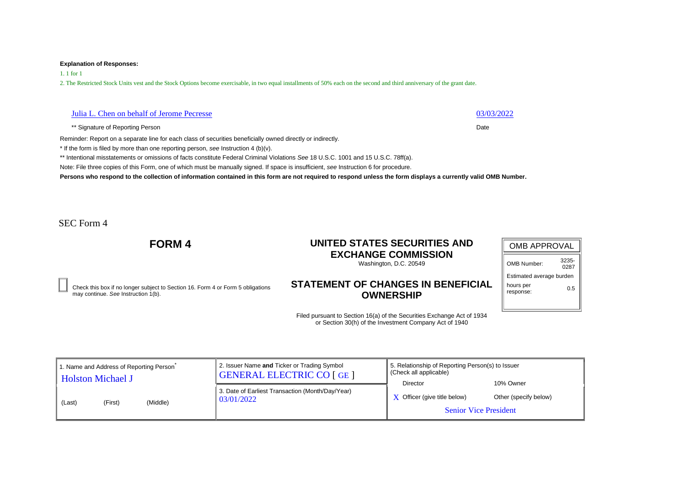1. 1 for 1

2. The Restricted Stock Units vest and the Stock Options become exercisable, in two equal installments of 50% each on the second and third anniversary of the grant date.

| Julia L. Chen on behalf of Jerome Pecresse | 03/03/2022 |
|--------------------------------------------|------------|
|--------------------------------------------|------------|

\*\* Signature of Reporting Person Date **Date of Reporting Person** Date **Date of Reporting Person** 

Reminder: Report on a separate line for each class of securities beneficially owned directly or indirectly.

\* If the form is filed by more than one reporting person, *see* Instruction 4 (b)(v).

\*\* Intentional misstatements or omissions of facts constitute Federal Criminal Violations *See* 18 U.S.C. 1001 and 15 U.S.C. 78ff(a).

Note: File three copies of this Form, one of which must be manually signed. If space is insufficient, *see* Instruction 6 for procedure.

**Persons who respond to the collection of information contained in this form are not required to respond unless the form displays a currently valid OMB Number.**

SEC Form 4

# **FORM 4 UNITED STATES SECURITIES AND EXCHANGE COMMISSION**

Washington, D.C. 20549

Check this box if no longer subject to Section 16. Form 4 or Form 5 obligations may continue. *See* Instruction 1(b).

## **STATEMENT OF CHANGES IN BENEFICIAL OWNERSHIP**

| <b>OMB APPROVAL</b>      |               |  |  |  |  |  |
|--------------------------|---------------|--|--|--|--|--|
| OMB Number:              | 3235-<br>0287 |  |  |  |  |  |
| Estimated average burden |               |  |  |  |  |  |
| hours per<br>response:   | 0.5           |  |  |  |  |  |

| I. Name and Address of Reporting Person<br>Holston Michael J | 2. Issuer Name and Ticker or Trading Symbol<br><b>GENERAL ELECTRIC CO [GE ]</b> | 5. Relationship of Reporting Person(s) to Issuer<br>Check all applicable)<br>Director | 10% Owner             |
|--------------------------------------------------------------|---------------------------------------------------------------------------------|---------------------------------------------------------------------------------------|-----------------------|
| (Middle)<br>(First)<br>(Last)                                | 3. Date of Earliest Transaction (Month/Day/Year)<br>  03/01/2022                | $\boldsymbol{X}$ Officer (give title below)<br><b>Senior Vice President</b>           | Other (specify below) |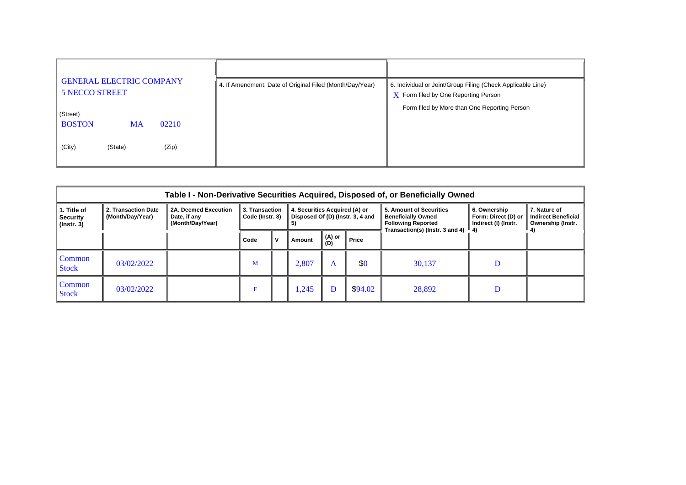| <b>GENERAL ELECTRIC COMPANY</b><br><b>5 NECCO STREET</b> | 4. If Amendment, Date of Original Filed (Month/Day/Year) | 6. Individual or Joint/Group Filing (Check Applicable Line)<br>$X$ Form filed by One Reporting Person |
|----------------------------------------------------------|----------------------------------------------------------|-------------------------------------------------------------------------------------------------------|
| (Street)                                                 |                                                          | Form filed by More than One Reporting Person                                                          |
| <b>BOSTON</b><br>02210<br><b>MA</b>                      |                                                          |                                                                                                       |
| (City)<br>(Zip)<br>(State)                               |                                                          |                                                                                                       |

|                                                    | Table I - Non-Derivative Securities Acquired, Disposed of, or Beneficially Owned |                                                          |      |                                                                                                              |        |                        |         |                                                                                                                      |                                                             |                                                                 |  |  |  |  |
|----------------------------------------------------|----------------------------------------------------------------------------------|----------------------------------------------------------|------|--------------------------------------------------------------------------------------------------------------|--------|------------------------|---------|----------------------------------------------------------------------------------------------------------------------|-------------------------------------------------------------|-----------------------------------------------------------------|--|--|--|--|
| 1. Title of<br><b>Security</b><br>$($ lnstr. 3 $)$ | 2. Transaction Date<br>(Month/Day/Year)                                          | 2A. Deemed Execution<br>Date, if any<br>(Month/Day/Year) |      | 4. Securities Acquired (A) or<br>3. Transaction<br>Disposed Of (D) (Instr. 3, 4 and<br>Code (Instr. 8)<br>5) |        |                        |         | 5. Amount of Securities<br><b>Beneficially Owned</b><br><b>Following Reported</b><br>Transaction(s) (Instr. 3 and 4) | 6. Ownership<br>Form: Direct (D) or<br>Indirect (I) (Instr. | 7. Nature of<br><b>Indirect Beneficial</b><br>Ownership (Instr. |  |  |  |  |
|                                                    |                                                                                  |                                                          | Code |                                                                                                              | Amount | (A) or<br>Price<br>(D) |         |                                                                                                                      |                                                             |                                                                 |  |  |  |  |
| Common<br><b>Stock</b>                             | 03/02/2022                                                                       |                                                          | М    |                                                                                                              | 2.807  | A                      | \$0     | 30,137                                                                                                               |                                                             |                                                                 |  |  |  |  |
| Common<br><b>Stock</b>                             | 03/02/2022                                                                       |                                                          |      |                                                                                                              | .245   |                        | \$94.02 | 28,892                                                                                                               |                                                             |                                                                 |  |  |  |  |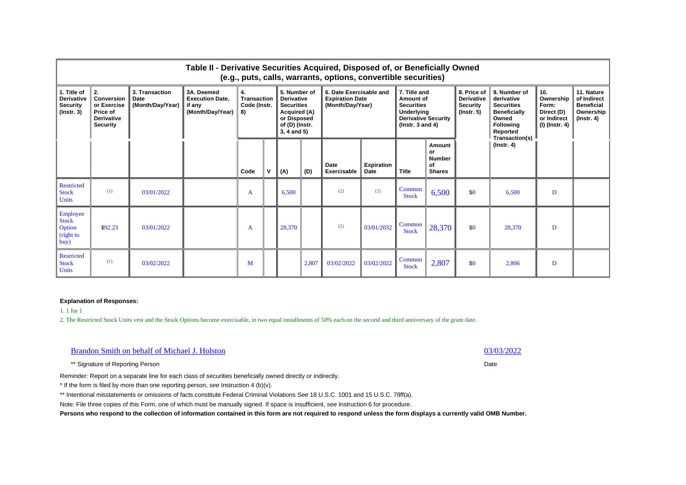|                                                                         | Table II - Derivative Securities Acquired, Disposed of, or Beneficially Owned<br>(e.g., puts, calls, warrants, options, convertible securities) |                                                   |                                                                    |                                         |  |                                                                                                                                                                                                     |       |                                                                                               |                                  |                            |                                                      |                                                                                                                                   |                                                                            |                                                                                 |  |
|-------------------------------------------------------------------------|-------------------------------------------------------------------------------------------------------------------------------------------------|---------------------------------------------------|--------------------------------------------------------------------|-----------------------------------------|--|-----------------------------------------------------------------------------------------------------------------------------------------------------------------------------------------------------|-------|-----------------------------------------------------------------------------------------------|----------------------------------|----------------------------|------------------------------------------------------|-----------------------------------------------------------------------------------------------------------------------------------|----------------------------------------------------------------------------|---------------------------------------------------------------------------------|--|
| 1. Title of<br><b>Derivative</b><br><b>Security</b><br>$($ lnstr. 3 $)$ | 2.<br>Conversion<br>or Exercise<br>Price of<br><b>Derivative</b><br>Security                                                                    | 3. Transaction<br><b>Date</b><br>(Month/Day/Year) | 3A. Deemed<br><b>Execution Date.</b><br>if any<br>(Month/Day/Year) | 4.<br>Transaction<br>Code (Instr.<br>8) |  | 6. Date Exercisable and<br>5. Number of<br><b>Derivative</b><br><b>Expiration Date</b><br><b>Securities</b><br>(Month/Day/Year)<br>Acquired (A)<br>or Disposed<br>of (D) (Instr.<br>$3, 4$ and $5)$ |       | 7. Title and<br>Amount of<br><b>Securities</b><br><b>Underlying</b><br>$($ lnstr. 3 and 4 $)$ |                                  | <b>Derivative Security</b> |                                                      | 9. Number of<br>derivative<br><b>Securities</b><br><b>Beneficially</b><br>Owned<br><b>Following</b><br>Reported<br>Transaction(s) | 10.<br>Ownership<br>Form:<br>Direct (D)<br>or Indirect<br>  (I) (Instr. 4) | 11. Nature<br>of Indirect<br><b>Beneficial</b><br>Ownership<br>$($ lnstr. 4 $)$ |  |
|                                                                         |                                                                                                                                                 |                                                   |                                                                    | Code                                    |  | (A)                                                                                                                                                                                                 | (D)   | Date<br>Exercisable                                                                           | <b>Expiration</b><br><b>Date</b> | <b>Title</b>               | Amount<br>or<br><b>Number</b><br>οf<br><b>Shares</b> |                                                                                                                                   | $($ Instr. 4 $)$                                                           |                                                                                 |  |
| <b>Restricted</b><br><b>Stock</b><br>Units                              | (1)                                                                                                                                             | 03/01/2022                                        |                                                                    | A                                       |  | 6.500                                                                                                                                                                                               |       | (2)                                                                                           | (2)                              | Common<br><b>Stock</b>     | 6,500                                                | \$0                                                                                                                               | 6.500                                                                      | D                                                                               |  |
| Employee<br><b>Stock</b><br>Option<br>(right to<br>buy)                 | \$92.23                                                                                                                                         | 03/01/2022                                        |                                                                    | A                                       |  | 28,370                                                                                                                                                                                              |       | (2)                                                                                           | 03/01/2032                       | Common<br><b>Stock</b>     | 28,370                                               | \$0                                                                                                                               | 28,370                                                                     | D                                                                               |  |
| <b>Restricted</b><br><b>Stock</b><br><b>Units</b>                       | (1)                                                                                                                                             | 03/02/2022                                        |                                                                    | M                                       |  |                                                                                                                                                                                                     | 2,807 | 03/02/2022                                                                                    | 03/02/2022                       | Common<br><b>Stock</b>     | 2,807                                                | \$0                                                                                                                               | 2,806                                                                      | D                                                                               |  |

1. 1 for 1

2. The Restricted Stock Units vest and the Stock Options become exercisable, in two equal installments of 50% each on the second and third anniversary of the grant date.

| <b>Brandon Smith on behalf of Michael J. Holston</b>                                                        | 03/03/2022 |
|-------------------------------------------------------------------------------------------------------------|------------|
| ** Signature of Reporting Person                                                                            | Date       |
| Reminder: Report on a separate line for each class of securities beneficially owned directly or indirectly. |            |
| $*$ If the form is filed by more than one reporting person, see Instruction 4 (b)(v).                       |            |

\*\* Intentional misstatements or omissions of facts constitute Federal Criminal Violations *See* 18 U.S.C. 1001 and 15 U.S.C. 78ff(a).

Note: File three copies of this Form, one of which must be manually signed. If space is insufficient, *see* Instruction 6 for procedure.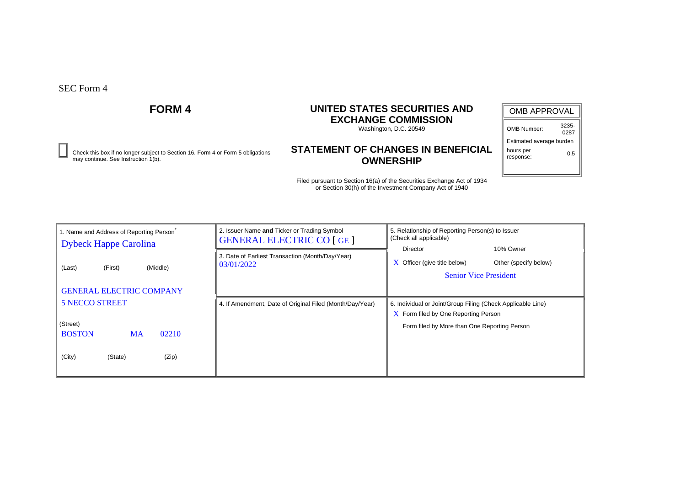Check this box if no longer subject to Section 16. Form 4 or Form 5 obligations **0.5**<br>may continue. See Instruction 1(b). **OWNERSHIP** 

# **FORM 4 UNITED STATES SECURITIES AND EXCHANGE COMMISSION**

Washington, D.C. 20549

# **STATEMENT OF CHANGES IN BENEFICIAL OWNERSHIP**

| <b>OMB APPROVAL</b>      |               |  |  |  |  |  |
|--------------------------|---------------|--|--|--|--|--|
| OMB Number:              | 3235-<br>0287 |  |  |  |  |  |
| Estimated average burden |               |  |  |  |  |  |
| hours per                |               |  |  |  |  |  |

response:

| 1. Name and Address of Reporting Person<br><b>Dybeck Happe Carolina</b> | 2. Issuer Name and Ticker or Trading Symbol<br><b>GENERAL ELECTRIC CO [GE ]</b> | 5. Relationship of Reporting Person(s) to Issuer<br>(Check all applicable)                                                           |  |  |  |  |
|-------------------------------------------------------------------------|---------------------------------------------------------------------------------|--------------------------------------------------------------------------------------------------------------------------------------|--|--|--|--|
| (First)<br>(Middle)<br>(Last)                                           | 3. Date of Earliest Transaction (Month/Day/Year)<br>03/01/2022                  | 10% Owner<br><b>Director</b><br>$\boldsymbol{X}$ Officer (give title below)<br>Other (specify below)<br><b>Senior Vice President</b> |  |  |  |  |
| <b>GENERAL ELECTRIC COMPANY</b>                                         |                                                                                 |                                                                                                                                      |  |  |  |  |
| <b>5 NECCO STREET</b>                                                   | 4. If Amendment, Date of Original Filed (Month/Day/Year)                        | 6. Individual or Joint/Group Filing (Check Applicable Line)                                                                          |  |  |  |  |
|                                                                         |                                                                                 | $\overline{X}$ Form filed by One Reporting Person                                                                                    |  |  |  |  |
| (Street)                                                                |                                                                                 | Form filed by More than One Reporting Person                                                                                         |  |  |  |  |
| <b>BOSTON</b><br>02210<br><b>MA</b>                                     |                                                                                 |                                                                                                                                      |  |  |  |  |
| (City)<br>(State)<br>(Zip)                                              |                                                                                 |                                                                                                                                      |  |  |  |  |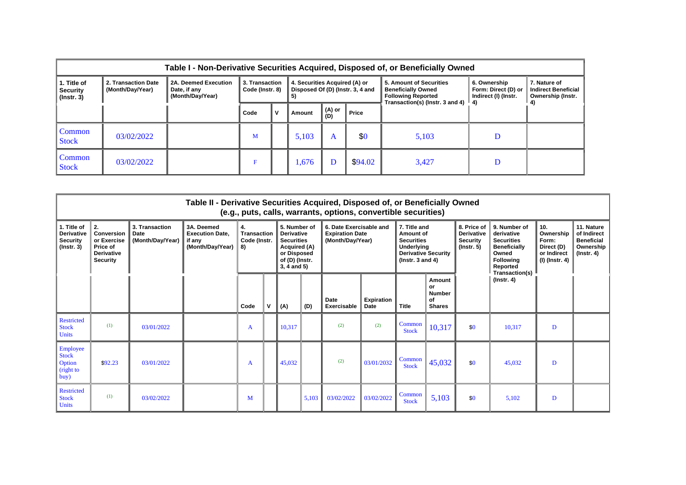|                                                    | Table I - Non-Derivative Securities Acquired, Disposed of, or Beneficially Owned |                                                          |      |                                                                                                              |        |               |         |                                                                                                                                     |                                                             |                                                                 |  |  |  |  |
|----------------------------------------------------|----------------------------------------------------------------------------------|----------------------------------------------------------|------|--------------------------------------------------------------------------------------------------------------|--------|---------------|---------|-------------------------------------------------------------------------------------------------------------------------------------|-------------------------------------------------------------|-----------------------------------------------------------------|--|--|--|--|
| 1. Title of<br><b>Security</b><br>$($ lnstr. 3 $)$ | 2. Transaction Date<br>(Month/Day/Year)                                          | 2A. Deemed Execution<br>Date, if any<br>(Month/Day/Year) |      | 3. Transaction<br>4. Securities Acquired (A) or<br>Disposed Of (D) (Instr. 3, 4 and<br>Code (Instr. 8)<br>5) |        |               |         | 5. Amount of Securities<br><b>Beneficially Owned</b><br><b>Following Reported</b><br>Transaction(s) (lnstr. 3 and 4) $\parallel$ 4) | 6. Ownership<br>Form: Direct (D) or<br>Indirect (I) (Instr. | 7. Nature of<br><b>Indirect Beneficial</b><br>Ownership (Instr. |  |  |  |  |
|                                                    |                                                                                  |                                                          | Code | $\mathbf{v}$                                                                                                 | Amount | (A) or<br>(D) | Price   |                                                                                                                                     |                                                             |                                                                 |  |  |  |  |
| Common<br><b>Stock</b>                             | 03/02/2022                                                                       |                                                          | M    |                                                                                                              | 5,103  | A             | \$0     | 5,103                                                                                                                               | D                                                           |                                                                 |  |  |  |  |
| Common<br><b>Stock</b>                             | 03/02/2022                                                                       |                                                          | F    |                                                                                                              | 1,676  |               | \$94.02 | 3,427                                                                                                                               | D                                                           |                                                                 |  |  |  |  |

|                                                                         | Table II - Derivative Securities Acquired, Disposed of, or Beneficially Owned<br>(e.g., puts, calls, warrants, options, convertible securities) |                                            |                                                                    |                                         |   |                                                                                                                            |       |                            |                                  |                        |                                               |                                                                       |                  |   |  |  |  |  |  |  |  |  |  |  |  |                                                                                                                    |  |                                                                         |                                                                                                                                   |                                                                          |                                                                                 |
|-------------------------------------------------------------------------|-------------------------------------------------------------------------------------------------------------------------------------------------|--------------------------------------------|--------------------------------------------------------------------|-----------------------------------------|---|----------------------------------------------------------------------------------------------------------------------------|-------|----------------------------|----------------------------------|------------------------|-----------------------------------------------|-----------------------------------------------------------------------|------------------|---|--|--|--|--|--|--|--|--|--|--|--|--------------------------------------------------------------------------------------------------------------------|--|-------------------------------------------------------------------------|-----------------------------------------------------------------------------------------------------------------------------------|--------------------------------------------------------------------------|---------------------------------------------------------------------------------|
| 1. Title of<br><b>Derivative</b><br><b>Security</b><br>$($ lnstr. 3 $)$ | 2.<br><b>Conversion</b><br>or Exercise<br>Price of<br><b>Derivative</b><br><b>Security</b>                                                      | 3. Transaction<br>Date<br>(Month/Day/Year) | 3A. Deemed<br><b>Execution Date.</b><br>if any<br>(Month/Day/Year) | 4.<br>Transaction<br>Code (Instr.<br>8) |   | 5. Number of<br><b>Derivative</b><br><b>Securities</b><br>Acquired (A)<br>or Disposed<br>of (D) (Instr.<br>$3, 4$ and $5)$ |       |                            |                                  |                        |                                               | 6. Date Exercisable and<br><b>Expiration Date</b><br>(Month/Day/Year) |                  |   |  |  |  |  |  |  |  |  |  |  |  | 7. Title and<br>Amount of<br><b>Securities</b><br>Underlying<br><b>Derivative Security</b><br>( $lnstr. 3 and 4$ ) |  | 8. Price of<br><b>Derivative</b><br><b>Security</b><br>$($ lnstr. 5 $)$ | 9. Number of<br>derivative<br><b>Securities</b><br><b>Beneficially</b><br>Owned<br><b>Following</b><br>Reported<br>Transaction(s) | 10.<br>Ownership<br>Form:<br>Direct (D)<br>or Indirect<br>(I) (Instr. 4) | 11. Nature<br>of Indirect<br><b>Beneficial</b><br>Ownership<br>$($ lnstr. 4 $)$ |
|                                                                         |                                                                                                                                                 |                                            |                                                                    | Code                                    | v | (A)                                                                                                                        | (D)   | <b>Date</b><br>Exercisable | <b>Expiration</b><br><b>Date</b> | <b>Title</b>           | Amount<br>or<br>Number<br>of<br><b>Shares</b> |                                                                       | $($ Instr. 4 $)$ |   |  |  |  |  |  |  |  |  |  |  |  |                                                                                                                    |  |                                                                         |                                                                                                                                   |                                                                          |                                                                                 |
| <b>Restricted</b><br><b>Stock</b><br><b>Units</b>                       | (1)                                                                                                                                             | 03/01/2022                                 |                                                                    | A                                       |   | 10,317                                                                                                                     |       | (2)                        | (2)                              | Common<br><b>Stock</b> | 10,317                                        | \$0                                                                   | 10,317           | D |  |  |  |  |  |  |  |  |  |  |  |                                                                                                                    |  |                                                                         |                                                                                                                                   |                                                                          |                                                                                 |
| Employee<br><b>Stock</b><br>Option<br>(right to<br>buy)                 | \$92.23                                                                                                                                         | 03/01/2022                                 |                                                                    | A                                       |   | 45,032                                                                                                                     |       | (2)                        | 03/01/2032                       | Common<br><b>Stock</b> | 45,032                                        | \$0                                                                   | 45,032           | D |  |  |  |  |  |  |  |  |  |  |  |                                                                                                                    |  |                                                                         |                                                                                                                                   |                                                                          |                                                                                 |
| <b>Restricted</b><br><b>Stock</b><br>Units                              | (1)                                                                                                                                             | 03/02/2022                                 |                                                                    | М                                       |   |                                                                                                                            | 5,103 | 03/02/2022                 | 03/02/2022                       | Common<br><b>Stock</b> | 5,103                                         | \$0                                                                   | 5,102            | D |  |  |  |  |  |  |  |  |  |  |  |                                                                                                                    |  |                                                                         |                                                                                                                                   |                                                                          |                                                                                 |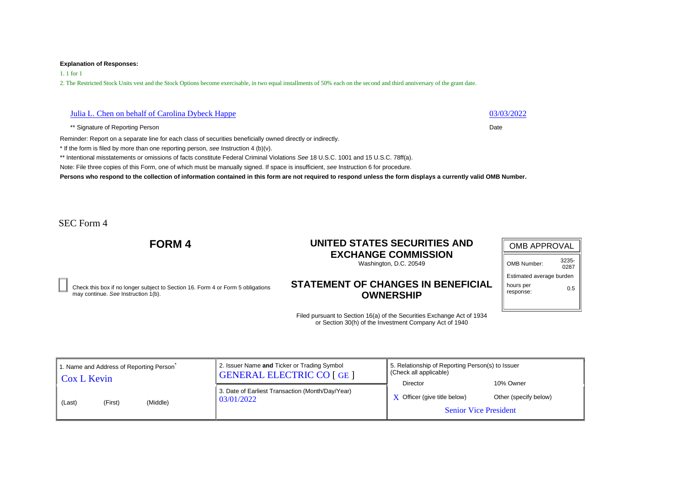1. 1 for 1

2. The Restricted Stock Units vest and the Stock Options become exercisable, in two equal installments of 50% each on the second and third anniversary of the grant date.

## Julia L. Chen on behalf of Carolina Dybeck Happe 03/03/2022

\*\* Signature of Reporting Person Date **Date of Reporting Person** Date **Date Date** 

Reminder: Report on a separate line for each class of securities beneficially owned directly or indirectly.

\* If the form is filed by more than one reporting person, *see* Instruction 4 (b)(v).

\*\* Intentional misstatements or omissions of facts constitute Federal Criminal Violations *See* 18 U.S.C. 1001 and 15 U.S.C. 78ff(a).

Note: File three copies of this Form, one of which must be manually signed. If space is insufficient, *see* Instruction 6 for procedure.

**Persons who respond to the collection of information contained in this form are not required to respond unless the form displays a currently valid OMB Number.**

SEC Form 4

# **FORM 4 UNITED STATES SECURITIES AND EXCHANGE COMMISSION**

Washington, D.C. 20549

Check this box if no longer subject to Section 16. Form 4 or Form 5 obligations may continue. *See* Instruction 1(b).

## **STATEMENT OF CHANGES IN BENEFICIAL OWNERSHIP**

| <b>OMB APPROVAL</b>      |               |  |  |  |  |  |
|--------------------------|---------------|--|--|--|--|--|
| OMB Number:              | 3235-<br>0287 |  |  |  |  |  |
| Estimated average burden |               |  |  |  |  |  |
| hours per<br>response:   | 0.5           |  |  |  |  |  |

| 1. Name and Address of Reporting Person<br>Cox L Kevin | 2. Issuer Name and Ticker or Trading Symbol<br><b>GENERAL ELECTRIC CO [GE ]</b> | 5. Relationship of Reporting Person(s) to Issuer<br>Check all applicable)<br>Director | 10% Owner             |
|--------------------------------------------------------|---------------------------------------------------------------------------------|---------------------------------------------------------------------------------------|-----------------------|
| (Middle)<br>(First)<br>(Last)                          | 3. Date of Earliest Transaction (Month/Day/Year)<br>03/01/2022                  | $\bf{X}$ Officer (give title below)<br><b>Senior Vice President</b>                   | Other (specify below) |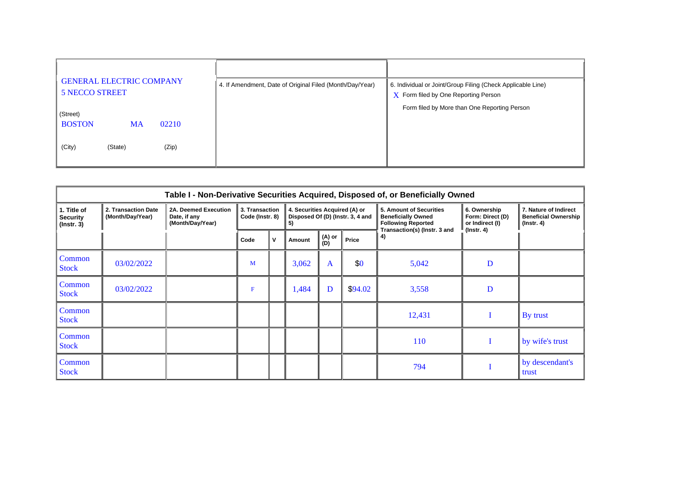| <b>GENERAL ELECTRIC COMPANY</b><br><b>5 NECCO STREET</b> | 4. If Amendment, Date of Original Filed (Month/Day/Year) | 6. Individual or Joint/Group Filing (Check Applicable Line)<br>$X$ Form filed by One Reporting Person |
|----------------------------------------------------------|----------------------------------------------------------|-------------------------------------------------------------------------------------------------------|
| (Street)                                                 |                                                          | Form filed by More than One Reporting Person                                                          |
| <b>BOSTON</b><br>02210<br><b>MA</b>                      |                                                          |                                                                                                       |
| (City)<br>(Zip)<br>(State)                               |                                                          |                                                                                                       |

| Table I - Non-Derivative Securities Acquired, Disposed of, or Beneficially Owned |                                         |                                                          |                                   |                                                                          |        |               |         |                                                                                                                   |                                                                         |                                                                          |  |  |
|----------------------------------------------------------------------------------|-----------------------------------------|----------------------------------------------------------|-----------------------------------|--------------------------------------------------------------------------|--------|---------------|---------|-------------------------------------------------------------------------------------------------------------------|-------------------------------------------------------------------------|--------------------------------------------------------------------------|--|--|
| 1. Title of<br><b>Security</b><br>$($ Instr. 3 $)$                               | 2. Transaction Date<br>(Month/Day/Year) | 2A. Deemed Execution<br>Date, if any<br>(Month/Day/Year) | 3. Transaction<br>Code (Instr. 8) | 4. Securities Acquired (A) or<br>Disposed Of (D) (Instr. 3, 4 and<br>-5) |        |               |         | 5. Amount of Securities<br><b>Beneficially Owned</b><br><b>Following Reported</b><br>Transaction(s) (Instr. 3 and | 6. Ownership<br>Form: Direct (D)<br>or Indirect (I)<br>$($ lnstr. 4 $)$ | 7. Nature of Indirect<br><b>Beneficial Ownership</b><br>$($ lnstr. 4 $)$ |  |  |
|                                                                                  |                                         |                                                          | Code                              |                                                                          | Amount | (A) or<br>(D) | Price   | 4)                                                                                                                |                                                                         |                                                                          |  |  |
| Common<br><b>Stock</b>                                                           | 03/02/2022                              |                                                          | M                                 |                                                                          | 3,062  | A             | \$0     | 5,042                                                                                                             | D                                                                       |                                                                          |  |  |
| Common<br><b>Stock</b>                                                           | 03/02/2022                              |                                                          | $\mathbf{F}$                      |                                                                          | 1,484  | D             | \$94.02 | 3,558                                                                                                             | D                                                                       |                                                                          |  |  |
| Common<br><b>Stock</b>                                                           |                                         |                                                          |                                   |                                                                          |        |               |         | 12,431                                                                                                            |                                                                         | By trust                                                                 |  |  |
| Common<br><b>Stock</b>                                                           |                                         |                                                          |                                   |                                                                          |        |               |         | 110                                                                                                               |                                                                         | by wife's trust                                                          |  |  |
| Common<br><b>Stock</b>                                                           |                                         |                                                          |                                   |                                                                          |        |               |         | 794                                                                                                               |                                                                         | by descendant's<br>trust                                                 |  |  |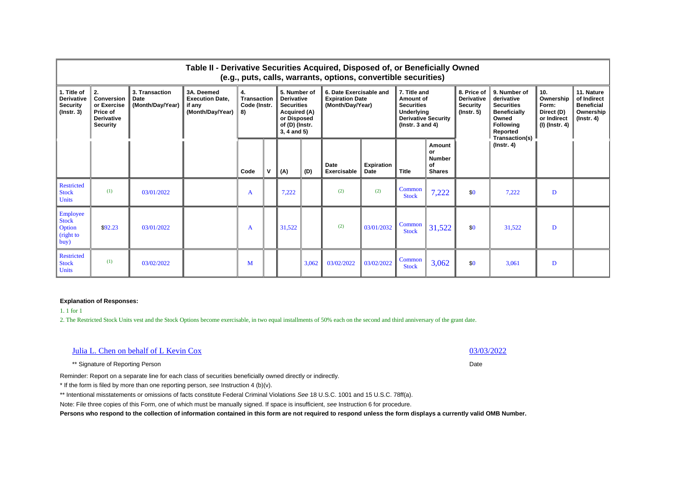|                                                                         | Table II - Derivative Securities Acquired, Disposed of, or Beneficially Owned<br>(e.g., puts, calls, warrants, options, convertible securities) |                                                   |                                                                    |                                         |  |                                                                                                                            |       |                                                                       |                           |                                                                                                                             |                                                      |                                                                         |                                                                                                                                   |                                                                            |                                                                                 |
|-------------------------------------------------------------------------|-------------------------------------------------------------------------------------------------------------------------------------------------|---------------------------------------------------|--------------------------------------------------------------------|-----------------------------------------|--|----------------------------------------------------------------------------------------------------------------------------|-------|-----------------------------------------------------------------------|---------------------------|-----------------------------------------------------------------------------------------------------------------------------|------------------------------------------------------|-------------------------------------------------------------------------|-----------------------------------------------------------------------------------------------------------------------------------|----------------------------------------------------------------------------|---------------------------------------------------------------------------------|
| 1. Title of<br><b>Derivative</b><br><b>Security</b><br>$($ lnstr. 3 $)$ | 2.<br>Conversion<br>or Exercise<br>Price of<br><b>Derivative</b><br>Security                                                                    | 3. Transaction<br><b>Date</b><br>(Month/Day/Year) | 3A. Deemed<br><b>Execution Date.</b><br>if any<br>(Month/Day/Year) | 4.<br>Transaction<br>Code (Instr.<br>8) |  | 5. Number of<br><b>Derivative</b><br><b>Securities</b><br>Acquired (A)<br>or Disposed<br>of (D) (Instr.<br>$3, 4$ and $5)$ |       | 6. Date Exercisable and<br><b>Expiration Date</b><br>(Month/Day/Year) |                           | 7. Title and<br>Amount of<br><b>Securities</b><br><b>Underlying</b><br><b>Derivative Security</b><br>$($ lnstr. 3 and 4 $)$ |                                                      | 8. Price of<br><b>Derivative</b><br><b>Security</b><br>$($ lnstr. 5 $)$ | 9. Number of<br>derivative<br><b>Securities</b><br><b>Beneficially</b><br>Owned<br><b>Following</b><br>Reported<br>Transaction(s) | 10.<br>Ownership<br>Form:<br>Direct (D)<br>or Indirect<br>  (I) (Instr. 4) | 11. Nature<br>of Indirect<br><b>Beneficial</b><br>Ownership<br>$($ Instr. 4 $)$ |
|                                                                         |                                                                                                                                                 |                                                   |                                                                    | Code                                    |  | (A)                                                                                                                        | (D)   | Date<br>Exercisable                                                   | <b>Expiration</b><br>Date | <b>Title</b>                                                                                                                | Amount<br>or<br><b>Number</b><br>Οf<br><b>Shares</b> |                                                                         | $($ Instr. 4 $)$                                                                                                                  |                                                                            |                                                                                 |
| <b>Restricted</b><br><b>Stock</b><br><b>Units</b>                       | (1)                                                                                                                                             | 03/01/2022                                        |                                                                    | A                                       |  | 7,222                                                                                                                      |       | (2)                                                                   | (2)                       | Common<br><b>Stock</b>                                                                                                      | 7,222                                                | \$0                                                                     | 7,222                                                                                                                             | D                                                                          |                                                                                 |
| Employee<br><b>Stock</b><br>Option<br>(right to<br>buy)                 | \$92.23                                                                                                                                         | 03/01/2022                                        |                                                                    | A                                       |  | 31,522                                                                                                                     |       | (2)                                                                   | 03/01/2032                | Common<br><b>Stock</b>                                                                                                      | 31,522                                               | \$0                                                                     | 31.522                                                                                                                            | D                                                                          |                                                                                 |
| <b>Restricted</b><br><b>Stock</b><br><b>Units</b>                       | (1)                                                                                                                                             | 03/02/2022                                        |                                                                    | M                                       |  |                                                                                                                            | 3,062 | 03/02/2022                                                            | 03/02/2022                | Common<br><b>Stock</b>                                                                                                      | 3,062                                                | \$0                                                                     | 3.061                                                                                                                             | D                                                                          |                                                                                 |

1. 1 for 1

2. The Restricted Stock Units vest and the Stock Options become exercisable, in two equal installments of 50% each on the second and third anniversary of the grant date.

| Julia L. Chen on behalf of L Kevin Cox | 03/03/2022 |
|----------------------------------------|------------|
|----------------------------------------|------------|

\*\* Signature of Reporting Person Date

Reminder: Report on a separate line for each class of securities beneficially owned directly or indirectly.

\* If the form is filed by more than one reporting person, *see* Instruction 4 (b)(v).

\*\* Intentional misstatements or omissions of facts constitute Federal Criminal Violations *See* 18 U.S.C. 1001 and 15 U.S.C. 78ff(a).

Note: File three copies of this Form, one of which must be manually signed. If space is insufficient, *see* Instruction 6 for procedure.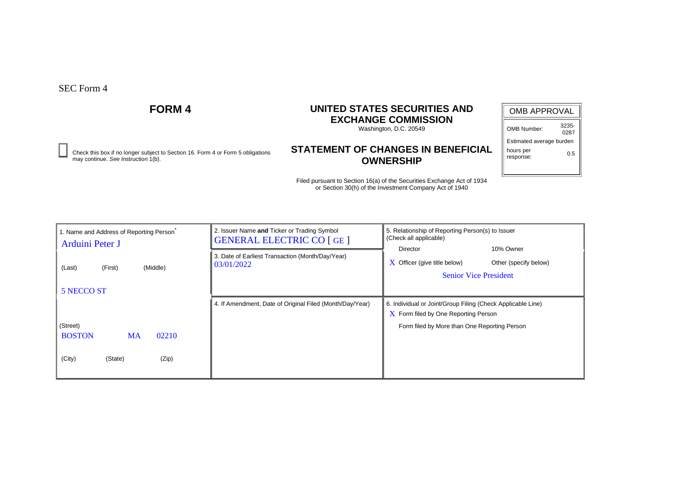Check this box if no longer subject to Section 16. Form 4 or Form 5 obligations **0.5**<br>may continue. See Instruction 1(b). **OWNERSHIP** 

# **FORM 4 UNITED STATES SECURITIES AND EXCHANGE COMMISSION**

Washington, D.C. 20549

# **STATEMENT OF CHANGES IN BENEFICIAL OWNERSHIP**

| <b>OMB APPROVAL</b>      |               |  |  |  |  |  |  |  |
|--------------------------|---------------|--|--|--|--|--|--|--|
| OMB Number:              | 3235-<br>0287 |  |  |  |  |  |  |  |
| Estimated average burden |               |  |  |  |  |  |  |  |
| hours per                |               |  |  |  |  |  |  |  |

response:

| 1. Name and Address of Reporting Person<br>Arduini Peter J | 2. Issuer Name and Ticker or Trading Symbol<br><b>GENERAL ELECTRIC CO [GE ]</b> | 5. Relationship of Reporting Person(s) to Issuer<br>(Check all applicable)                                        |  |  |  |  |  |
|------------------------------------------------------------|---------------------------------------------------------------------------------|-------------------------------------------------------------------------------------------------------------------|--|--|--|--|--|
| (Middle)<br>(Last)<br>(First)                              | 3. Date of Earliest Transaction (Month/Day/Year)<br>03/01/2022                  | Director<br>10% Owner<br>Officer (give title below)<br>Other (specify below)<br>X<br><b>Senior Vice President</b> |  |  |  |  |  |
| 5 NECCO ST                                                 |                                                                                 |                                                                                                                   |  |  |  |  |  |
|                                                            | 4. If Amendment, Date of Original Filed (Month/Day/Year)                        | 6. Individual or Joint/Group Filing (Check Applicable Line)                                                       |  |  |  |  |  |
|                                                            |                                                                                 | $\overline{X}$ Form filed by One Reporting Person                                                                 |  |  |  |  |  |
| (Street)                                                   |                                                                                 | Form filed by More than One Reporting Person                                                                      |  |  |  |  |  |
| <b>BOSTON</b><br>02210<br><b>MA</b>                        |                                                                                 |                                                                                                                   |  |  |  |  |  |
|                                                            |                                                                                 |                                                                                                                   |  |  |  |  |  |
| (City)<br>(Zip)<br>(State)                                 |                                                                                 |                                                                                                                   |  |  |  |  |  |
|                                                            |                                                                                 |                                                                                                                   |  |  |  |  |  |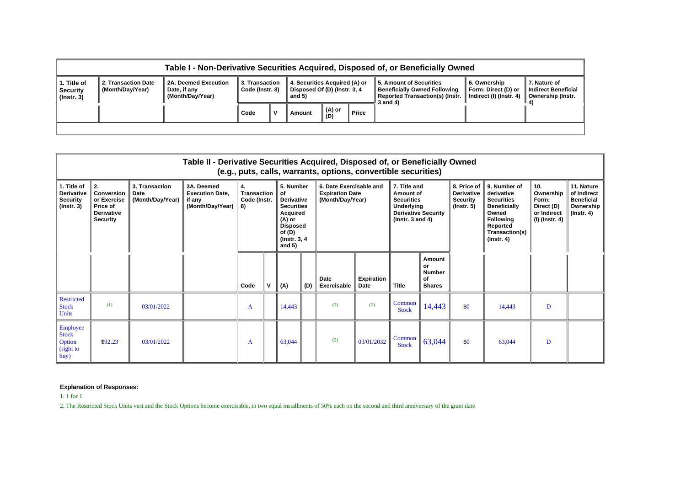|                                                    | Table I - Non-Derivative Securities Acquired, Disposed of, or Beneficially Owned |                                                          |                                   |  |                                                                         |                             |       |                                                                                                                      |                                                                |                                                          |  |  |  |
|----------------------------------------------------|----------------------------------------------------------------------------------|----------------------------------------------------------|-----------------------------------|--|-------------------------------------------------------------------------|-----------------------------|-------|----------------------------------------------------------------------------------------------------------------------|----------------------------------------------------------------|----------------------------------------------------------|--|--|--|
| 1. Title of<br><b>Security</b><br>$($ lnstr. 3 $)$ | 2. Transaction Date<br>(Month/Day/Year)                                          | 2A. Deemed Execution<br>Date, if any<br>(Month/Day/Year) | 3. Transaction<br>Code (Instr. 8) |  | 4. Securities Acquired (A) or<br>Disposed Of (D) (Instr. 3, 4<br>and 5) |                             |       | 5. Amount of Securities<br><b>Beneficially Owned Following</b><br><b>Reported Transaction(s) (Instr.</b><br>3 and 4) | 6. Ownership<br>Form: Direct (D) or<br>Indirect (I) (Instr. 4) | 7. Nature of<br>Indirect Beneficial<br>Ownership (Instr. |  |  |  |
|                                                    |                                                                                  |                                                          | Code                              |  | Amount                                                                  | $\parallel$ (A) or<br>  (D) | Price |                                                                                                                      |                                                                |                                                          |  |  |  |
|                                                    |                                                                                  |                                                          |                                   |  |                                                                         |                             |       |                                                                                                                      |                                                                |                                                          |  |  |  |

|                                                                         | Table II - Derivative Securities Acquired, Disposed of, or Beneficially Owned<br>(e.g., puts, calls, warrants, options, convertible securities) |                                            |                                                                    |                                                |   |                                                                                                                                             |     |                                                                       |                           |                                                                                                                    |                                                      |                                                                         |                                                                                                                                                       |                                                                            |                                                                                 |
|-------------------------------------------------------------------------|-------------------------------------------------------------------------------------------------------------------------------------------------|--------------------------------------------|--------------------------------------------------------------------|------------------------------------------------|---|---------------------------------------------------------------------------------------------------------------------------------------------|-----|-----------------------------------------------------------------------|---------------------------|--------------------------------------------------------------------------------------------------------------------|------------------------------------------------------|-------------------------------------------------------------------------|-------------------------------------------------------------------------------------------------------------------------------------------------------|----------------------------------------------------------------------------|---------------------------------------------------------------------------------|
| 1. Title of<br><b>Derivative</b><br><b>Security</b><br>$($ lnstr. 3 $)$ | II 2.<br><b>Conversion</b><br>or Exercise<br>Price of<br><b>Derivative</b><br><b>Security</b>                                                   | 3. Transaction<br>Date<br>(Month/Day/Year) | 3A, Deemed<br><b>Execution Date.</b><br>if any<br>(Month/Day/Year) | 4.<br><b>Transaction</b><br>Code (Instr.<br>8) |   | 5. Number<br>of<br><b>Derivative</b><br><b>Securities</b><br>Acquired<br>(A) or<br><b>Disposed</b><br>of $(D)$<br>(Instr. 3, 4)<br>and $5)$ |     | 6. Date Exercisable and<br><b>Expiration Date</b><br>(Month/Day/Year) |                           | 7. Title and<br>Amount of<br><b>Securities</b><br>Underlying<br><b>Derivative Security</b><br>( $lnstr. 3 and 4$ ) |                                                      | 8. Price of<br><b>Derivative</b><br><b>Security</b><br>$($ lnstr. 5 $)$ | 9. Number of<br>derivative<br><b>Securities</b><br><b>Beneficially</b><br>Owned<br><b>Following</b><br>Reported<br>Transaction(s)<br>$($ Instr. 4 $)$ | 10.<br>Ownership<br>Form:<br>Direct (D)<br>or Indirect<br>$(I)$ (Instr. 4) | 11. Nature<br>of Indirect<br><b>Beneficial</b><br>Ownership<br>$($ lnstr. 4 $)$ |
|                                                                         |                                                                                                                                                 |                                            |                                                                    | Code                                           | V | (A)                                                                                                                                         | (D) | Date<br>Exercisable                                                   | <b>Expiration</b><br>Date | <b>Title</b>                                                                                                       | Amount<br>or<br><b>Number</b><br>of<br><b>Shares</b> |                                                                         |                                                                                                                                                       |                                                                            |                                                                                 |
| <b>Restricted</b><br><b>Stock</b><br><b>Units</b>                       | (1)                                                                                                                                             | 03/01/2022                                 |                                                                    | A                                              |   | 14,443                                                                                                                                      |     | (2)                                                                   | (2)                       | Common<br><b>Stock</b>                                                                                             | 14,443                                               | \$0                                                                     | 14,443                                                                                                                                                | D                                                                          |                                                                                 |
| Employee<br><b>Stock</b><br>Option<br>(right to<br>buy)                 | \$92.23                                                                                                                                         | 03/01/2022                                 |                                                                    | A                                              |   | 63,044                                                                                                                                      |     | (2)                                                                   | 03/01/2032                | Common<br><b>Stock</b>                                                                                             | 63,044                                               | \$0                                                                     | 63,044                                                                                                                                                | D                                                                          |                                                                                 |

1. 1 for 1

2. The Restricted Stock Units vest and the Stock Options become exercisable, in two equal installments of 50% each on the second and third anniversary of the grant date